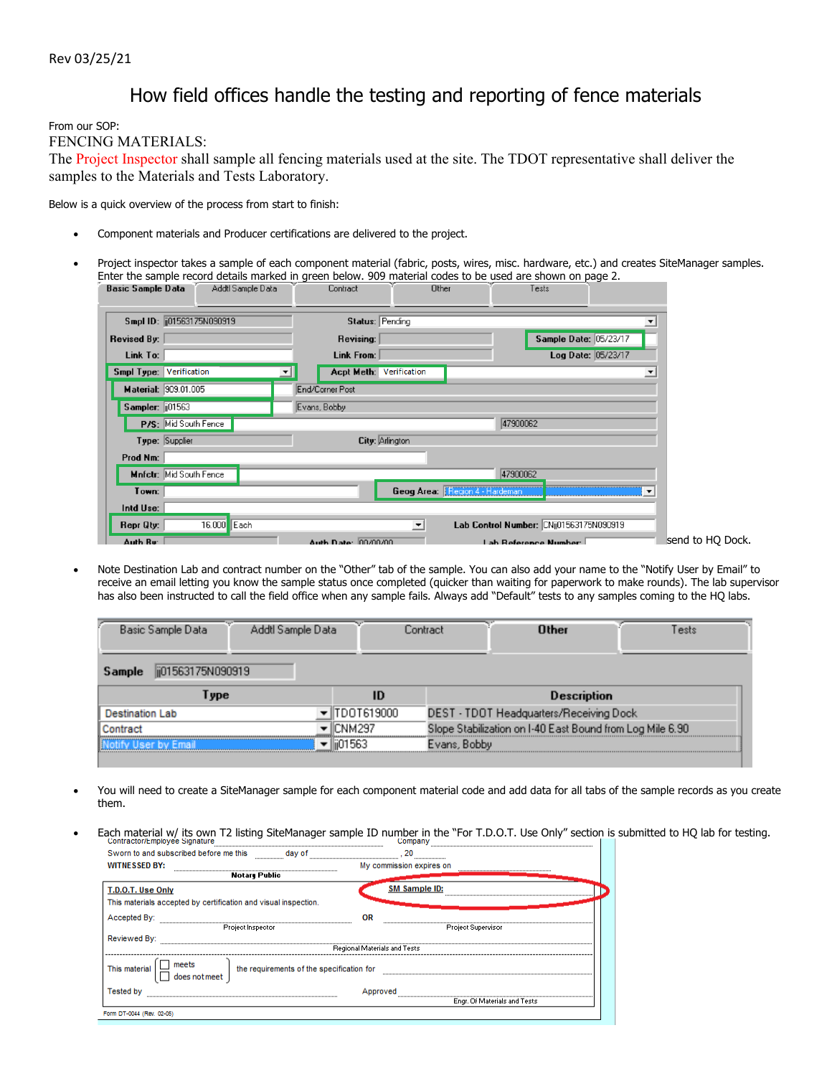## How field offices handle the testing and reporting of fence materials

From our SOP:

FENCING MATERIALS:

The Project Inspector shall sample all fencing materials used at the site. The TDOT representative shall deliver the samples to the Materials and Tests Laboratory.

Below is a quick overview of the process from start to finish:

- Component materials and Producer certifications are delivered to the project.
- Project inspector takes a sample of each component material (fabric, posts, wires, misc. hardware, etc.) and creates SiteManager samples. Enter the sample record details marked in green below. 909 material codes to be used are shown on page 2.

| Basic Sample Data              |                         |             | Addti Sample Data |              | Lontract            |                      | Uther                          |          | I ests                                  |                          |                  |
|--------------------------------|-------------------------|-------------|-------------------|--------------|---------------------|----------------------|--------------------------------|----------|-----------------------------------------|--------------------------|------------------|
| Smpl ID: (i01563175N090919)    |                         |             |                   |              | Status: Pending     |                      |                                |          |                                         |                          |                  |
| <b>Revised By:</b>             |                         |             |                   |              | Revising:           |                      |                                |          | Sample Date: 05/23/17                   |                          |                  |
| Link To:                       |                         |             |                   |              | Link From:          |                      |                                |          |                                         | Log Date: 05/23/17       |                  |
| <b>Smpl Type: Verification</b> |                         |             | ▾╎                |              | <b>Acpt Meth:</b>   | Verification         |                                |          |                                         | $\overline{\phantom{a}}$ |                  |
| Material: 909.01.005           |                         |             |                   |              | End/Corner Post     |                      |                                |          |                                         |                          |                  |
| Sampler: [101563]              |                         |             |                   | Evans, Bobby |                     |                      |                                |          |                                         |                          |                  |
|                                | P/S: Mid South Fence    |             |                   |              |                     |                      |                                | 47900062 |                                         |                          |                  |
|                                | Type: Supplier          |             |                   |              | City: Arlington     |                      |                                |          |                                         |                          |                  |
| Prod Nm:                       |                         |             |                   |              |                     |                      |                                |          |                                         |                          |                  |
|                                | Mnfetr: Mid South Fence |             |                   |              |                     |                      |                                | 47900062 |                                         |                          |                  |
| Town:                          |                         |             |                   |              |                     |                      | Geog Area: Fegion 4 - Hardeman |          |                                         | ▼                        |                  |
| Intd Use:                      |                         |             |                   |              |                     |                      |                                |          |                                         |                          |                  |
| Repr Qty:                      |                         | 16.000 Each |                   |              |                     | $\blacktriangledown$ |                                |          | Lab Control Number: CNij01563175N090919 |                          |                  |
| Auth Ru <sup>.</sup>           |                         |             |                   |              | Auth Date: 00/00/00 |                      |                                |          | Lah Beference Number                    |                          | send to HO Dock. |

 Note Destination Lab and contract number on the "Other" tab of the sample. You can also add your name to the "Notify User by Email" to receive an email letting you know the sample status once completed (quicker than waiting for paperwork to make rounds). The lab supervisor has also been instructed to call the field office when any sample fails. Always add "Default" tests to any samples coming to the HQ labs.

| ii01563175N090919<br>Sample                                                     |  |  |  |  |  |  |  |  |  |  |  |
|---------------------------------------------------------------------------------|--|--|--|--|--|--|--|--|--|--|--|
| <b>Description</b><br>$\nu$ pe<br>ID                                            |  |  |  |  |  |  |  |  |  |  |  |
| TDOT619000<br>DEST - TDOT Headquarters/Receiving Dock<br><b>Destination Lab</b> |  |  |  |  |  |  |  |  |  |  |  |
| Slope Stabilization on I-40 East Bound from Log Mile 6.90<br>CNM297             |  |  |  |  |  |  |  |  |  |  |  |
| llii01563<br>Evans, Bobbu                                                       |  |  |  |  |  |  |  |  |  |  |  |

- You will need to create a SiteManager sample for each component material code and add data for all tabs of the sample records as you create them.
- Each material w/ its own T2 listing SiteManager sample ID number in the "For T.D.O.T. Use Only" section is submitted to HQ lab for testing.

| Sworn to and subscribed before me this                          |                                           |                              |  |  |  |  |
|-----------------------------------------------------------------|-------------------------------------------|------------------------------|--|--|--|--|
| <b>WITNESSED BY:</b>                                            |                                           | My commission expires on     |  |  |  |  |
| Notary Public                                                   |                                           |                              |  |  |  |  |
| T.D.O.T. Use Only                                               |                                           | SM Sample ID:                |  |  |  |  |
| This materials accepted by certification and visual inspection. |                                           |                              |  |  |  |  |
| Accepted By:                                                    | OR                                        |                              |  |  |  |  |
| Project Inspector                                               |                                           | <b>Project Supervisor</b>    |  |  |  |  |
| Reviewed By:                                                    |                                           |                              |  |  |  |  |
|                                                                 | <b>Regional Materials and Tests</b>       |                              |  |  |  |  |
| meets<br>  does notmeet<br>This material                        | the requirements of the specification for |                              |  |  |  |  |
| <b>Tested by</b>                                                | Approved                                  |                              |  |  |  |  |
|                                                                 |                                           | Engr. Of Materials and Tests |  |  |  |  |
| Form DT-0044 (Rev. 02-05)                                       |                                           |                              |  |  |  |  |